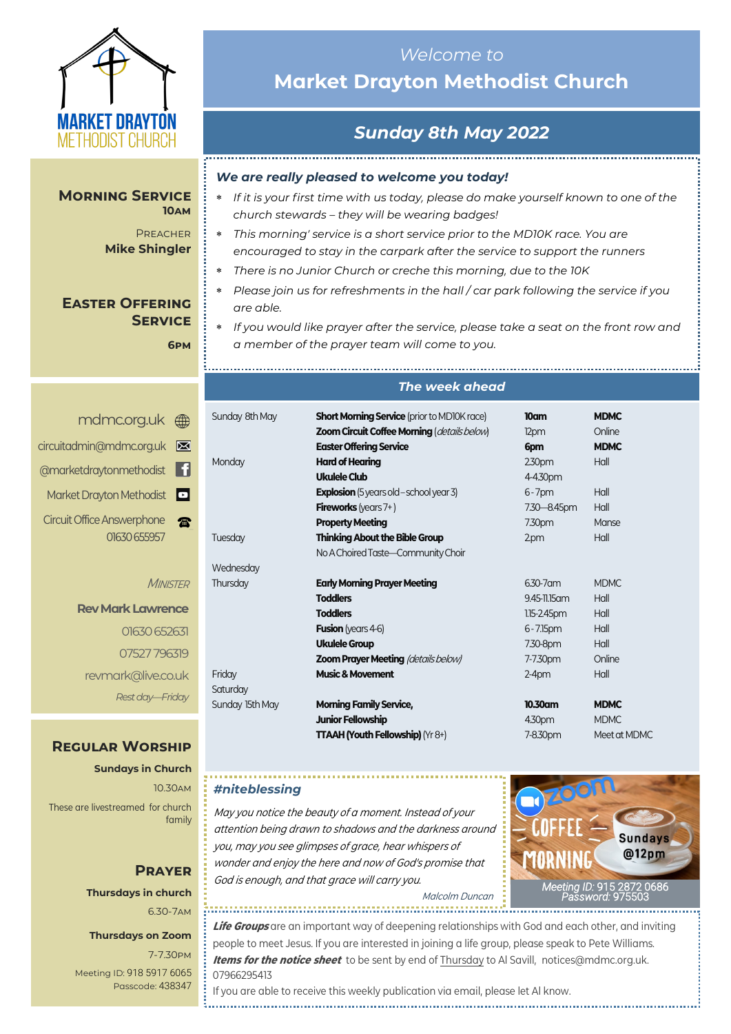

#### **Morning Service 10am**

**PREACHER Mike Shingler**

## **Easter Offering Service**

**6pm**

| mdmc.org.uk A                         |
|---------------------------------------|
| circuitadmin@mdmc.org.uk              |
| @marketdraytonmethodist               |
| Market Drayton Methodist <sup>5</sup> |
| <b>Circuit Office Answerphone</b>     |
| 01630 655957                          |

**MINISTER** 

**Rev Mark Lawrence** 01630 652631 07527 796319 revmark@live.co.uk *Rest day—Friday*

## **Regular Worship**

**Sundays in Church** 10.30am These are livestreamed for church family

## **Prayer Thursdays in church** 6.30-7am

#### **Thursdays on Zoom**

7-7.30pm [Meeting ID:](https://us04web.zoom.us/j/77138650306?fbclid=IwAR1B778-w3GWZgDnAqUFq-X6hXjzASNTsZuRIt4kZ4Cpyur_3CO2EGlBBwY#success) 918 5917 6065 Passcode: 438347

## *Welcome to*  **Market Drayton Methodist Church**

# *Sunday 8th May 2022*

### *We are really pleased to welcome you today!*

- *If it is your first time with us today, please do make yourself known to one of the church stewards – they will be wearing badges!*
- *This morning' service is a short service prior to the MD10K race. You are encouraged to stay in the carpark after the service to support the runners*
- *There is no Junior Church or creche this morning, due to the 10K*
- *Please join us for refreshments in the hall / car park following the service if you are able.*
- *If you would like prayer after the service, please take a seat on the front row and a member of the prayer team will come to you.*

## *The week ahead*

| Sunday 8th May  | <b>Short Morning Service</b> (prior to MD10K race)<br><b>Zoom Circuit Coffee Morning (details below)</b><br><b>Easter Offering Service</b> | 10 <sub>cm</sub><br>12pm<br>6pm | <b>MDMC</b><br>Online<br><b>MDMC</b> |
|-----------------|--------------------------------------------------------------------------------------------------------------------------------------------|---------------------------------|--------------------------------------|
| Monday          | <b>Hard of Hearing</b>                                                                                                                     | 230 <sub>pm</sub>               | Hall                                 |
|                 | Ukulele Club                                                                                                                               | 4-4.30pm                        |                                      |
|                 | <b>Explosion</b> (5 years old – school year 3)                                                                                             | $6 - 7$ pm                      | Hall                                 |
|                 | <b>Fireworks</b> (years $7+$ )                                                                                                             | 7.30-8.45pm                     | Hall                                 |
|                 | <b>Property Meeting</b>                                                                                                                    | 7.30pm                          | Manse                                |
| Tuesday         | <b>Thinking About the Bible Group</b>                                                                                                      | 2.pm                            | Hall                                 |
|                 | No A Choired Taste-Community Choir                                                                                                         |                                 |                                      |
| Wednesday       |                                                                                                                                            |                                 |                                      |
| Thursday        | <b>Early Morning Prayer Meeting</b>                                                                                                        | $6.30 - 7$ am                   | MDMC.                                |
|                 | <b>Toddlers</b>                                                                                                                            | 9.45-11.15 am                   | Hall                                 |
|                 | <b>Toddlers</b>                                                                                                                            | $1.15 - 2.45$ pm                | Hall                                 |
|                 | <b>Fusion</b> (years 4-6)                                                                                                                  | $6 - 7.15$ pm                   | Hall                                 |
|                 | <b>Ukulele Group</b>                                                                                                                       | 7.30-8pm                        | Hall                                 |
|                 | <b>Zoom Prayer Meeting (details below)</b>                                                                                                 | 7-7.30pm                        | Online                               |
| Friday          | <b>Music &amp; Movement</b>                                                                                                                | $2-4$ pm                        | Hall                                 |
| Saturday        |                                                                                                                                            |                                 |                                      |
| Sunday 15th May | <b>Morning Family Service,</b>                                                                                                             | 10.30am                         | <b>MDMC</b>                          |
|                 | <b>Junior Fellowship</b>                                                                                                                   | 4.30pm                          | <b>MDMC</b>                          |
|                 | <b>TTAAH (Youth Fellowship)</b> ( $Yr8+$ )                                                                                                 | 7-8.30pm                        | Meet at MDMC                         |

## *#niteblessing*

May you notice the beauty of a moment. Instead of your attention being drawn to shadows and the darkness around you, may you see glimpses of grace, hear whispers of wonder and enjoy the here and now of God's promise that God is enough, and that grace will carry you.



Malcolm Duncan 

**Life Groups** are an important way of deepening relationships with God and each other, and inviting people to meet Jesus. If you are interested in joining a life group, please speak to Pete Williams. **Items for the notice sheet** to be sent by end of Thursday to Al Savill, notices@mdmc.org.uk. 07966295413

If you are able to receive this weekly publication via email, please let Al know.